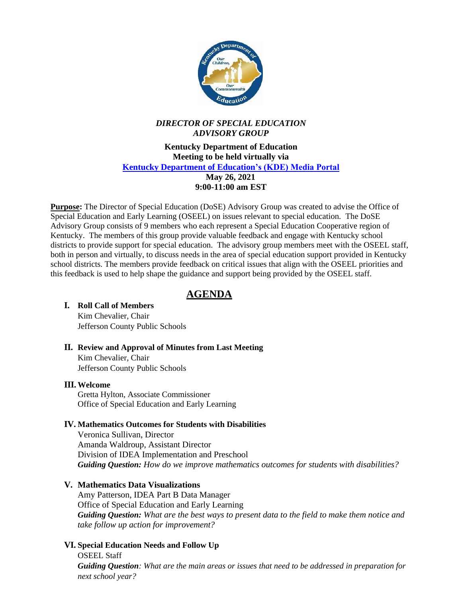

### *DIRECTOR OF SPECIAL EDUCATION ADVISORY GROUP*

**Kentucky Department of Education Meeting to be held virtually via [Kentucky Department of Education's \(KDE\) Media Portal](https://lnks.gd/l/eyJhbGciOiJIUzI1NiJ9.eyJidWxsZXRpbl9saW5rX2lkIjoxMDAsInVyaSI6ImJwMjpjbGljayIsImJ1bGxldGluX2lkIjoiMjAyMTA1MjAuNDA4MzUwNjEiLCJ1cmwiOiJodHRwczovL21lZGlhcG9ydGFsLmVkdWNhdGlvbi5reS5nb3YvIn0.8zMQ6I4VTZul1aSHTI7RZa0f3tFuTLtxUgZL5yaTf1U/s/982484377/br/106721168198-l) May 26, 2021 9:00-11:00 am EST**

**Purpose:** The Director of Special Education (DoSE) Advisory Group was created to advise the Office of Special Education and Early Learning (OSEEL) on issues relevant to special education. The DoSE Advisory Group consists of 9 members who each represent a Special Education Cooperative region of Kentucky. The members of this group provide valuable feedback and engage with Kentucky school districts to provide support for special education. The advisory group members meet with the OSEEL staff, both in person and virtually, to discuss needs in the area of special education support provided in Kentucky school districts. The members provide feedback on critical issues that align with the OSEEL priorities and this feedback is used to help shape the guidance and support being provided by the OSEEL staff.

# **AGENDA**

### **I. Roll Call of Members** Kim Chevalier, Chair

Jefferson County Public Schools

**II. Review and Approval of Minutes from Last Meeting** Kim Chevalier, Chair Jefferson County Public Schools

#### **III. Welcome**

Gretta Hylton, Associate Commissioner Office of Special Education and Early Learning

#### **IV. Mathematics Outcomes for Students with Disabilities**

Veronica Sullivan, Director Amanda Waldroup, Assistant Director Division of IDEA Implementation and Preschool *Guiding Question: How do we improve mathematics outcomes for students with disabilities?*

#### **V. Mathematics Data Visualizations**

Amy Patterson, IDEA Part B Data Manager Office of Special Education and Early Learning *Guiding Question: What are the best ways to present data to the field to make them notice and take follow up action for improvement?* 

#### **VI. Special Education Needs and Follow Up**

OSEEL Staff *Guiding Question: What are the main areas or issues that need to be addressed in preparation for next school year?*